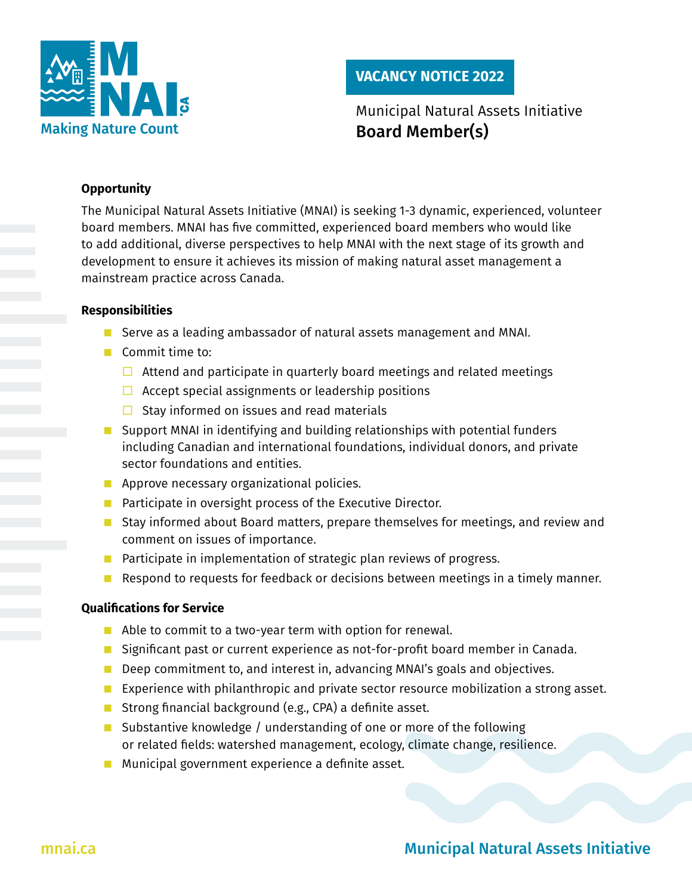

# **VACANCY NOTICE 2022**

# Municipal Natural Assets Initiative Board Member(s)

## **Opportunity**

The Municipal Natural Assets Initiative (MNAI) is seeking 1-3 dynamic, experienced, volunteer board members. MNAI has five committed, experienced board members who would like to add additional, diverse perspectives to help MNAI with the next stage of its growth and development to ensure it achieves its mission of making natural asset management a mainstream practice across Canada.

### **Responsibilities**

- Serve as a leading ambassador of natural assets management and MNAI.
- Commit time to:
	- $\Box$  Attend and participate in quarterly board meetings and related meetings
	- $\Box$  Accept special assignments or leadership positions
	- $\Box$  Stay informed on issues and read materials
- Support MNAI in identifying and building relationships with potential funders including Canadian and international foundations, individual donors, and private sector foundations and entities.
- **Approve necessary organizational policies.**
- **Participate in oversight process of the Executive Director.**
- **Stay informed about Board matters, prepare themselves for meetings, and review and** comment on issues of importance.
- **Participate in implementation of strategic plan reviews of progress.**
- Respond to requests for feedback or decisions between meetings in a timely manner.

### **Qualifications for Service**

- Able to commit to a two-year term with option for renewal.
- **Significant past or current experience as not-for-profit board member in Canada.**
- Deep commitment to, and interest in, advancing MNAI's goals and objectives.
- **EXPERIGENALES EXPERIENCE With philanthropic and private sector resource mobilization a strong asset.**
- **Strong financial background (e.g., CPA) a definite asset.**
- Substantive knowledge / understanding of one or more of the following or related fields: watershed management, ecology, climate change, resilience.
- **Municipal government experience a definite asset.**

# [mnai.ca](http://mnai.ca) **Municipal Natural Assets Initiative** Municipal Natural Assets Initiative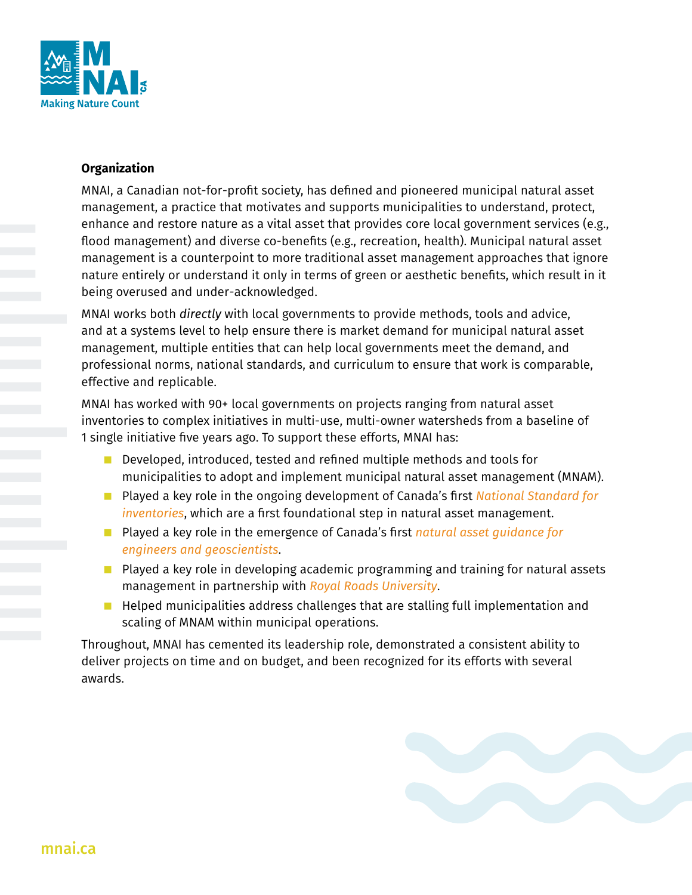

### **Organization**

MNAI, a Canadian not-for-profit society, has defined and pioneered municipal natural asset management, a practice that motivates and supports municipalities to understand, protect, enhance and restore nature as a vital asset that provides core local government services (e.g., flood management) and diverse co-benefits (e.g., recreation, health). Municipal natural asset management is a counterpoint to more traditional asset management approaches that ignore nature entirely or understand it only in terms of green or aesthetic benefits, which result in it being overused and under-acknowledged.

MNAI works both *directly* with local governments to provide methods, tools and advice, and at a systems level to help ensure there is market demand for municipal natural asset management, multiple entities that can help local governments meet the demand, and professional norms, national standards, and curriculum to ensure that work is comparable, effective and replicable.

MNAI has worked with 90+ local governments on projects ranging from natural asset inventories to complex initiatives in multi-use, multi-owner watersheds from a baseline of 1 single initiative five years ago. To support these efforts, MNAI has:

- Developed, introduced, tested and refined multiple methods and tools for municipalities to adopt and implement municipal natural asset management (MNAM).
- Played a key role in the ongoing development of Canada's first *National Standard for [inventories](https://mnai.ca/new-national-standard/)*, which are a first foundational step in natural asset management.
- Played a key role in the emergence of Canada's first *natural asset guidance for [engineers and geoscientists](https://mnai.ca/natural-asset-guidelines-now-available-for-engineers-geoscientists/)*.
- $\blacksquare$  Played a key role in developing academic programming and training for natural assets management in partnership with *[Royal Roads University](https://pcs.royalroads.ca/natural-asset-management-online)*.
- $\blacksquare$  Helped municipalities address challenges that are stalling full implementation and scaling of MNAM within municipal operations.

Throughout, MNAI has cemented its leadership role, demonstrated a consistent ability to deliver projects on time and on budget, and been recognized for its efforts with several awards.